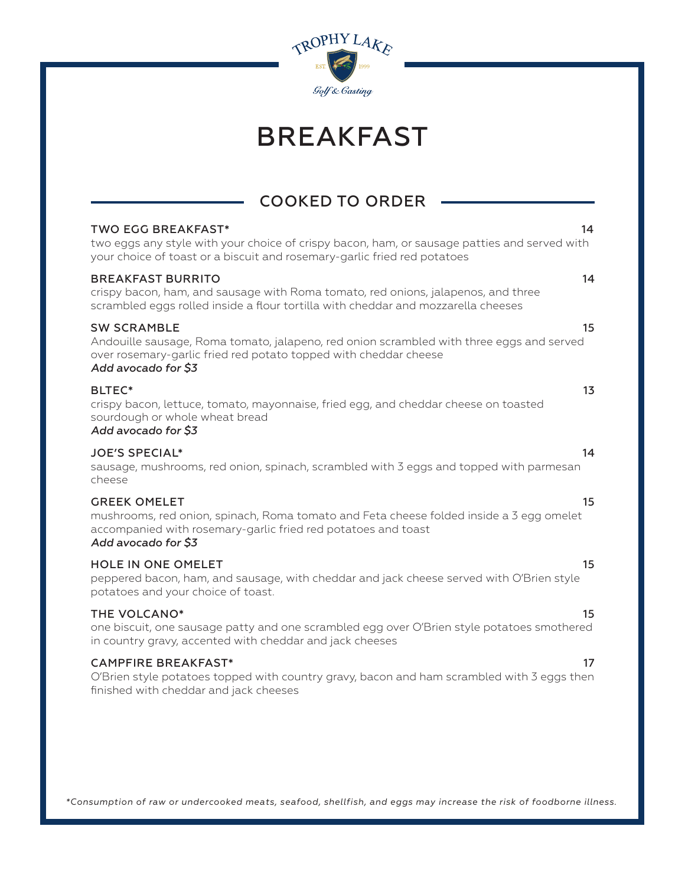

## BREAKFAST

## COOKED TO ORDER

| <b>TWO EGG BREAKFAST*</b><br>two eggs any style with your choice of crispy bacon, ham, or sausage patties and served with<br>your choice of toast or a biscuit and rosemary-garlic fried red potatoes     | 14 |
|-----------------------------------------------------------------------------------------------------------------------------------------------------------------------------------------------------------|----|
| <b>BREAKFAST BURRITO</b><br>crispy bacon, ham, and sausage with Roma tomato, red onions, jalapenos, and three<br>scrambled eggs rolled inside a flour tortilla with cheddar and mozzarella cheeses        | 14 |
| <b>SW SCRAMBLE</b><br>Andouille sausage, Roma tomato, jalapeno, red onion scrambled with three eggs and served<br>over rosemary-garlic fried red potato topped with cheddar cheese<br>Add avocado for \$3 | 15 |
| BLTEC*<br>crispy bacon, lettuce, tomato, mayonnaise, fried egg, and cheddar cheese on toasted<br>sourdough or whole wheat bread<br>Add avocado for \$3                                                    | 13 |
| <b>JOE'S SPECIAL*</b><br>sausage, mushrooms, red onion, spinach, scrambled with 3 eggs and topped with parmesan<br>cheese                                                                                 | 14 |
| <b>GREEK OMELET</b><br>mushrooms, red onion, spinach, Roma tomato and Feta cheese folded inside a 3 egg omelet<br>accompanied with rosemary-garlic fried red potatoes and toast<br>Add avocado for \$3    | 15 |
| <b>HOLE IN ONE OMELET</b><br>peppered bacon, ham, and sausage, with cheddar and jack cheese served with O'Brien style<br>potatoes and your choice of toast.                                               | 15 |
| THE VOLCANO*<br>one biscuit, one sausage patty and one scrambled egg over O'Brien style potatoes smothered<br>in country gravy, accented with cheddar and jack cheeses                                    | 15 |
| <b>CAMPFIRE BREAKFAST*</b><br>O'Brien style potatoes topped with country gravy, bacon and ham scrambled with 3 eggs then<br>finished with cheddar and jack cheeses                                        | 17 |
|                                                                                                                                                                                                           |    |

*\*Consumption of raw or undercooked meats, seafood, shellfish, and eggs may increase the risk of foodborne illness.*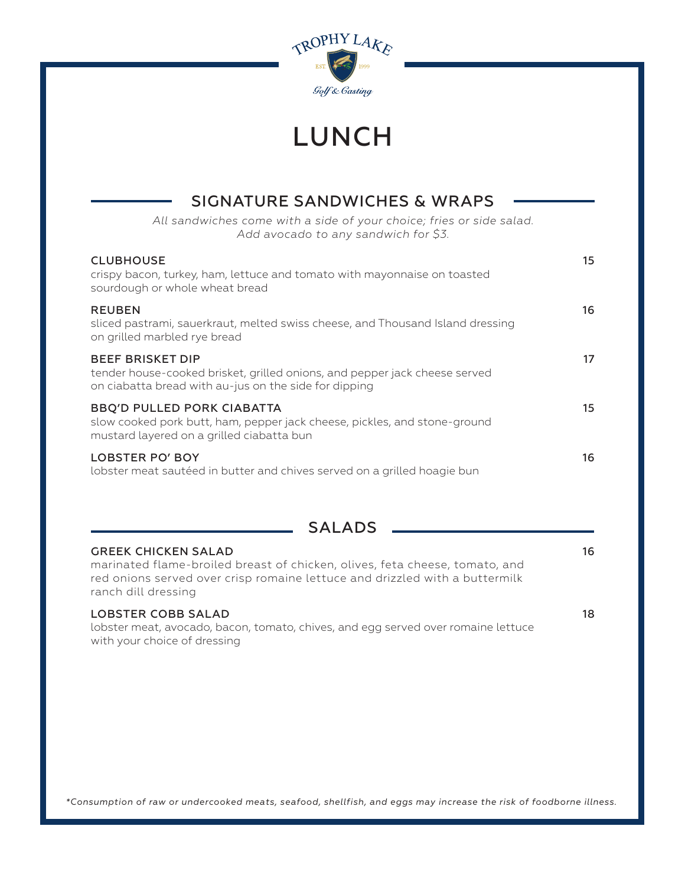

## LUNCH

| SIGNATURE SANDWICHES & WRAPS                                                                                                                                   |    |
|----------------------------------------------------------------------------------------------------------------------------------------------------------------|----|
| All sandwiches come with a side of your choice; fries or side salad.<br>Add avocado to any sandwich for \$3.                                                   |    |
| <b>CLUBHOUSE</b><br>crispy bacon, turkey, ham, lettuce and tomato with mayonnaise on toasted<br>sourdough or whole wheat bread                                 | 15 |
| <b>REUBEN</b><br>sliced pastrami, sauerkraut, melted swiss cheese, and Thousand Island dressing<br>on grilled marbled rye bread                                | 16 |
| <b>BEEF BRISKET DIP</b><br>tender house-cooked brisket, grilled onions, and pepper jack cheese served<br>on ciabatta bread with au-jus on the side for dipping | 17 |
| <b>BBQ'D PULLED PORK CIABATTA</b><br>slow cooked pork butt, ham, pepper jack cheese, pickles, and stone-ground<br>mustard layered on a grilled ciabatta bun    | 15 |
| <b>LOBSTER PO' BOY</b><br>lobster meat sautéed in butter and chives served on a grilled hoagie bun                                                             | 16 |

| SALADS |  |
|--------|--|
|--------|--|

| <b>GREEK CHICKEN SALAD</b><br>marinated flame-broiled breast of chicken, olives, feta cheese, tomato, and<br>red onions served over crisp romaine lettuce and drizzled with a buttermilk<br>ranch dill dressing | 16 |
|-----------------------------------------------------------------------------------------------------------------------------------------------------------------------------------------------------------------|----|
| <b>LOBSTER COBB SALAD</b><br>lobster meat, avocado, bacon, tomato, chives, and egg served over romaine lettuce<br>with your choice of dressing                                                                  | 18 |

*\*Consumption of raw or undercooked meats, seafood, shellfish, and eggs may increase the risk of foodborne illness.*